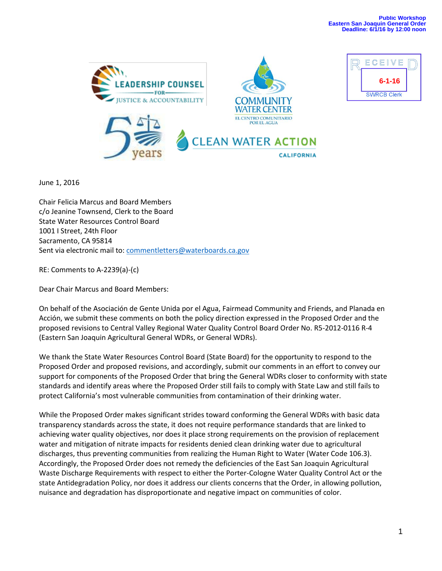



June 1, 2016

Chair Felicia Marcus and Board Members c/o Jeanine Townsend, Clerk to the Board State Water Resources Control Board 1001 I Street, 24th Floor Sacramento, CA 95814 Sent via electronic mail to: [commentletters@waterboards.ca.gov](mailto:commentletters@waterboards.ca.gov)

RE: Comments to A-2239(a)-(c)

Dear Chair Marcus and Board Members:

On behalf of the Asociación de Gente Unida por el Agua, Fairmead Community and Friends, and Planada en Acción, we submit these comments on both the policy direction expressed in the Proposed Order and the proposed revisions to Central Valley Regional Water Quality Control Board Order No. R5-2012-0116 R-4 (Eastern San Joaquin Agricultural General WDRs, or General WDRs).

We thank the State Water Resources Control Board (State Board) for the opportunity to respond to the Proposed Order and proposed revisions, and accordingly, submit our comments in an effort to convey our support for components of the Proposed Order that bring the General WDRs closer to conformity with state standards and identify areas where the Proposed Order still fails to comply with State Law and still fails to protect California's most vulnerable communities from contamination of their drinking water.

While the Proposed Order makes significant strides toward conforming the General WDRs with basic data transparency standards across the state, it does not require performance standards that are linked to achieving water quality objectives, nor does it place strong requirements on the provision of replacement water and mitigation of nitrate impacts for residents denied clean drinking water due to agricultural discharges, thus preventing communities from realizing the Human Right to Water (Water Code 106.3). Accordingly, the Proposed Order does not remedy the deficiencies of the East San Joaquin Agricultural Waste Discharge Requirements with respect to either the Porter-Cologne Water Quality Control Act or the state Antidegradation Policy, nor does it address our clients concerns that the Order, in allowing pollution, nuisance and degradation has disproportionate and negative impact on communities of color.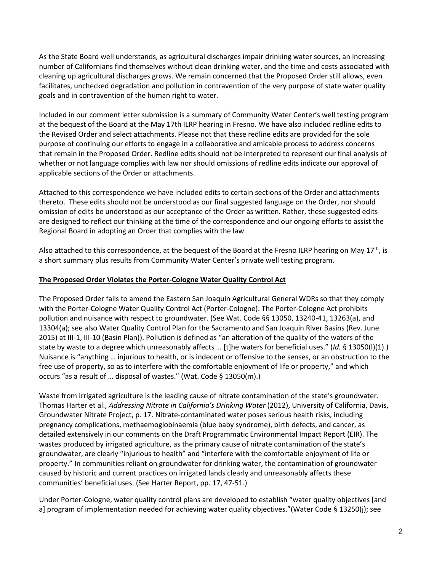As the State Board well understands, as agricultural discharges impair drinking water sources, an increasing number of Californians find themselves without clean drinking water, and the time and costs associated with cleaning up agricultural discharges grows. We remain concerned that the Proposed Order still allows, even facilitates, unchecked degradation and pollution in contravention of the very purpose of state water quality goals and in contravention of the human right to water.

Included in our comment letter submission is a summary of Community Water Center's well testing program at the bequest of the Board at the May 17th ILRP hearing in Fresno. We have also included redline edits to the Revised Order and select attachments. Please not that these redline edits are provided for the sole purpose of continuing our efforts to engage in a collaborative and amicable process to address concerns that remain in the Proposed Order. Redline edits should not be interpreted to represent our final analysis of whether or not language complies with law nor should omissions of redline edits indicate our approval of applicable sections of the Order or attachments.

Attached to this correspondence we have included edits to certain sections of the Order and attachments thereto. These edits should not be understood as our final suggested language on the Order, nor should omission of edits be understood as our acceptance of the Order as written. Rather, these suggested edits are designed to reflect our thinking at the time of the correspondence and our ongoing efforts to assist the Regional Board in adopting an Order that complies with the law.

Also attached to this correspondence, at the bequest of the Board at the Fresno ILRP hearing on May 17<sup>th</sup>, is a short summary plus results from Community Water Center's private well testing program.

#### **The Proposed Order Violates the Porter-Cologne Water Quality Control Act**

The Proposed Order fails to amend the Eastern San Joaquin Agricultural General WDRs so that they comply with the Porter-Cologne Water Quality Control Act (Porter-Cologne). The Porter-Cologne Act prohibits pollution and nuisance with respect to groundwater. (See Wat. Code §§ 13050, 13240-41, 13263(a), and 13304(a); see also Water Quality Control Plan for the Sacramento and San Joaquin River Basins (Rev. June 2015) at III-1, III-10 (Basin Plan)). Pollution is defined as "an alteration of the quality of the waters of the state by waste to a degree which unreasonably affects … [t]he waters for beneficial uses." (*Id.* § 13050(l)(1).) Nuisance is "anything … injurious to health, or is indecent or offensive to the senses, or an obstruction to the free use of property, so as to interfere with the comfortable enjoyment of life or property," and which occurs "as a result of … disposal of wastes." (Wat. Code § 13050(m).)

Waste from irrigated agriculture is the leading cause of nitrate contamination of the state's groundwater. Thomas Harter et al., *Addressing Nitrate in California's Drinking Water* (2012), University of California, Davis, Groundwater Nitrate Project, p. 17. Nitrate-contaminated water poses serious health risks, including pregnancy complications, methaemoglobinaemia (blue baby syndrome), birth defects, and cancer, as detailed extensively in our comments on the Draft Programmatic Environmental Impact Report (EIR). The wastes produced by irrigated agriculture, as the primary cause of nitrate contamination of the state's groundwater, are clearly "injurious to health" and "interfere with the comfortable enjoyment of life or property." In communities reliant on groundwater for drinking water, the contamination of groundwater caused by historic and current practices on irrigated lands clearly and unreasonably affects these communities' beneficial uses. (See Harter Report, pp. 17, 47-51.)

Under Porter-Cologne, water quality control plans are developed to establish "water quality objectives [and a] program of implementation needed for achieving water quality objectives."(Water Code § 13250(j); see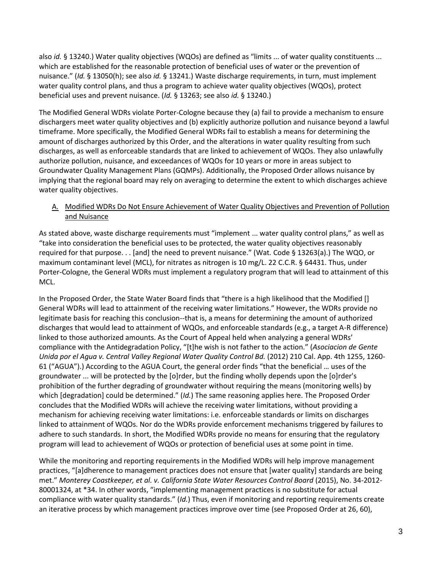also *id.* § 13240.) Water quality objectives (WQOs) are defined as "limits ... of water quality constituents ... which are established for the reasonable protection of beneficial uses of water or the prevention of nuisance." (*Id.* § 13050(h); see also *id.* § 13241.) Waste discharge requirements, in turn, must implement water quality control plans, and thus a program to achieve water quality objectives (WQOs), protect beneficial uses and prevent nuisance. (*Id.* § 13263; see also *id.* § 13240.)

The Modified General WDRs violate Porter-Cologne because they (a) fail to provide a mechanism to ensure dischargers meet water quality objectives and (b) explicitly authorize pollution and nuisance beyond a lawful timeframe. More specifically, the Modified General WDRs fail to establish a means for determining the amount of discharges authorized by this Order, and the alterations in water quality resulting from such discharges, as well as enforceable standards that are linked to achievement of WQOs. They also unlawfully authorize pollution, nuisance, and exceedances of WQOs for 10 years or more in areas subject to Groundwater Quality Management Plans (GQMPs). Additionally, the Proposed Order allows nuisance by implying that the regional board may rely on averaging to determine the extent to which discharges achieve water quality objectives.

A. Modified WDRs Do Not Ensure Achievement of Water Quality Objectives and Prevention of Pollution and Nuisance

As stated above, waste discharge requirements must "implement ... water quality control plans," as well as "take into consideration the beneficial uses to be protected, the water quality objectives reasonably required for that purpose. . . [and] the need to prevent nuisance." (Wat*.* Code § 13263(a).) The WQO, or maximum contaminant level (MCL), for nitrates as nitrogen is 10 mg/L. 22 C.C.R. § 64431. Thus, under Porter-Cologne, the General WDRs must implement a regulatory program that will lead to attainment of this MCL.

In the Proposed Order, the State Water Board finds that "there is a high likelihood that the Modified [] General WDRs will lead to attainment of the receiving water limitations." However, the WDRs provide no legitimate basis for reaching this conclusion--that is, a means for determining the amount of authorized discharges that would lead to attainment of WQOs, and enforceable standards (e.g., a target A-R difference) linked to those authorized amounts. As the Court of Appeal held when analyzing a general WDRs' compliance with the Antidegradation Policy, "[t]he wish is not father to the action." (*Asociacion de Gente Unida por el Agua v. Central Valley Regional Water Quality Control Bd.* (2012) 210 Cal. App. 4th 1255, 1260- 61 ("AGUA").) According to the AGUA Court, the general order finds "that the beneficial … uses of the groundwater ... will be protected by the [o]rder, but the finding wholly depends upon the [o]rder's prohibition of the further degrading of groundwater without requiring the means (monitoring wells) by which [degradation] could be determined." (*Id.*) The same reasoning applies here. The Proposed Order concludes that the Modified WDRs will achieve the receiving water limitations, without providing a mechanism for achieving receiving water limitations: i.e. enforceable standards or limits on discharges linked to attainment of WQOs. Nor do the WDRs provide enforcement mechanisms triggered by failures to adhere to such standards. In short, the Modified WDRs provide no means for ensuring that the regulatory program will lead to achievement of WQOs or protection of beneficial uses at some point in time.

While the monitoring and reporting requirements in the Modified WDRs will help improve management practices, "[a]dherence to management practices does not ensure that [water quality] standards are being met." *Monterey Coastkeeper, et al. v. California State Water Resources Control Board* (2015), No. 34-2012- 80001324, at \*34. In other words, "implementing management practices is no substitute for actual compliance with water quality standards." (*Id.*) Thus, even if monitoring and reporting requirements create an iterative process by which management practices improve over time (see Proposed Order at 26, 60),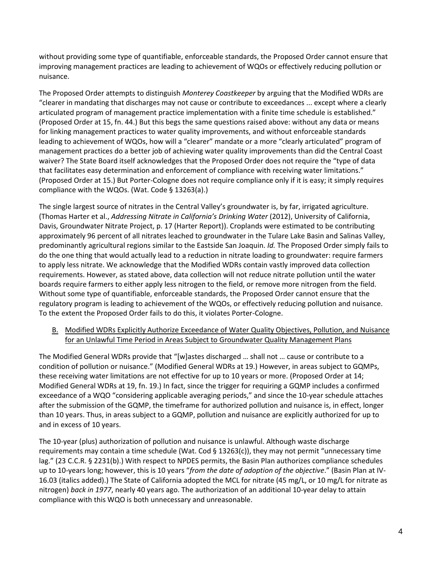without providing some type of quantifiable, enforceable standards, the Proposed Order cannot ensure that improving management practices are leading to achievement of WQOs or effectively reducing pollution or nuisance.

The Proposed Order attempts to distinguish *Monterey Coastkeeper* by arguing that the Modified WDRs are "clearer in mandating that discharges may not cause or contribute to exceedances ... except where a clearly articulated program of management practice implementation with a finite time schedule is established." (Proposed Order at 15, fn. 44.) But this begs the same questions raised above: without any data or means for linking management practices to water quality improvements, and without enforceable standards leading to achievement of WQOs, how will a "clearer" mandate or a more "clearly articulated" program of management practices do a better job of achieving water quality improvements than did the Central Coast waiver? The State Board itself acknowledges that the Proposed Order does not require the "type of data that facilitates easy determination and enforcement of compliance with receiving water limitations." (Proposed Order at 15.) But Porter-Cologne does not require compliance only if it is easy; it simply requires compliance with the WQOs. (Wat. Code § 13263(a).)

The single largest source of nitrates in the Central Valley's groundwater is, by far, irrigated agriculture. (Thomas Harter et al., *Addressing Nitrate in California's Drinking Water* (2012), University of California, Davis, Groundwater Nitrate Project, p. 17 (Harter Report)). Croplands were estimated to be contributing approximately 96 percent of all nitrates leached to groundwater in the Tulare Lake Basin and Salinas Valley, predominantly agricultural regions similar to the Eastside San Joaquin. *Id.* The Proposed Order simply fails to do the one thing that would actually lead to a reduction in nitrate loading to groundwater: require farmers to apply less nitrate. We acknowledge that the Modified WDRs contain vastly improved data collection requirements. However, as stated above, data collection will not reduce nitrate pollution until the water boards require farmers to either apply less nitrogen to the field, or remove more nitrogen from the field. Without some type of quantifiable, enforceable standards, the Proposed Order cannot ensure that the regulatory program is leading to achievement of the WQOs, or effectively reducing pollution and nuisance. To the extent the Proposed Order fails to do this, it violates Porter-Cologne.

# B. Modified WDRs Explicitly Authorize Exceedance of Water Quality Objectives, Pollution, and Nuisance for an Unlawful Time Period in Areas Subject to Groundwater Quality Management Plans

The Modified General WDRs provide that "[w]astes discharged … shall not … cause or contribute to a condition of pollution or nuisance." (Modified General WDRs at 19.) However, in areas subject to GQMPs, these receiving water limitations are not effective for up to 10 years or more. (Proposed Order at 14; Modified General WDRs at 19, fn. 19.) In fact, since the trigger for requiring a GQMP includes a confirmed exceedance of a WQO "considering applicable averaging periods," and since the 10-year schedule attaches after the submission of the GQMP, the timeframe for authorized pollution and nuisance is, in effect, longer than 10 years. Thus, in areas subject to a GQMP, pollution and nuisance are explicitly authorized for up to and in excess of 10 years.

The 10-year (plus) authorization of pollution and nuisance is unlawful. Although waste discharge requirements may contain a time schedule (Wat. Cod § 13263(c)), they may not permit "unnecessary time lag." (23 C.C.R. § 2231(b).) With respect to NPDES permits, the Basin Plan authorizes compliance schedules up to 10-years long; however, this is 10 years "*from the date of adoption of the objective*." (Basin Plan at IV-16.03 (italics added).) The State of California adopted the MCL for nitrate (45 mg/L, or 10 mg/L for nitrate as nitrogen) *back in 1977*, nearly 40 years ago. The authorization of an additional 10-year delay to attain compliance with this WQO is both unnecessary and unreasonable.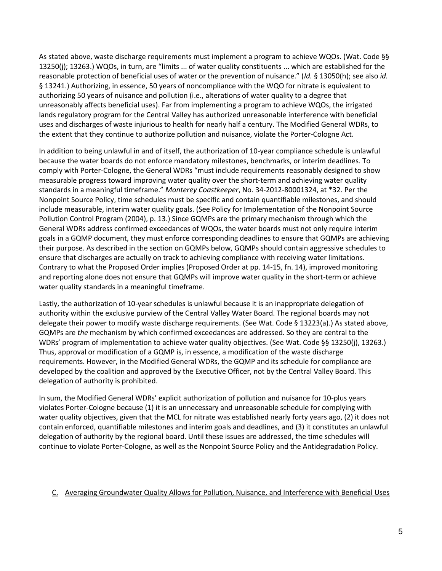As stated above, waste discharge requirements must implement a program to achieve WQOs. (Wat. Code §§ 13250(j); 13263.) WQOs, in turn, are "limits ... of water quality constituents ... which are established for the reasonable protection of beneficial uses of water or the prevention of nuisance." (*Id.* § 13050(h); see also *id.*  § 13241.) Authorizing, in essence, 50 years of noncompliance with the WQO for nitrate is equivalent to authorizing 50 years of nuisance and pollution (i.e., alterations of water quality to a degree that unreasonably affects beneficial uses). Far from implementing a program to achieve WQOs, the irrigated lands regulatory program for the Central Valley has authorized unreasonable interference with beneficial uses and discharges of waste injurious to health for nearly half a century. The Modified General WDRs, to the extent that they continue to authorize pollution and nuisance, violate the Porter-Cologne Act.

In addition to being unlawful in and of itself, the authorization of 10-year compliance schedule is unlawful because the water boards do not enforce mandatory milestones, benchmarks, or interim deadlines. To comply with Porter-Cologne, the General WDRs "must include requirements reasonably designed to show measurable progress toward improving water quality over the short-term and achieving water quality standards in a meaningful timeframe." *Monterey Coastkeeper*, No. 34-2012-80001324, at \*32. Per the Nonpoint Source Policy, time schedules must be specific and contain quantifiable milestones, and should include measurable, interim water quality goals. (See Policy for Implementation of the Nonpoint Source Pollution Control Program (2004), p. 13.) Since GQMPs are the primary mechanism through which the General WDRs address confirmed exceedances of WQOs, the water boards must not only require interim goals in a GQMP document, they must enforce corresponding deadlines to ensure that GQMPs are achieving their purpose. As described in the section on GQMPs below, GQMPs should contain aggressive schedules to ensure that discharges are actually on track to achieving compliance with receiving water limitations. Contrary to what the Proposed Order implies (Proposed Order at pp. 14-15, fn. 14), improved monitoring and reporting alone does not ensure that GQMPs will improve water quality in the short-term or achieve water quality standards in a meaningful timeframe.

Lastly, the authorization of 10-year schedules is unlawful because it is an inappropriate delegation of authority within the exclusive purview of the Central Valley Water Board. The regional boards may not delegate their power to modify waste discharge requirements. (See Wat. Code § 13223(a).) As stated above, GQMPs are *the* mechanism by which confirmed exceedances are addressed. So they are central to the WDRs' program of implementation to achieve water quality objectives. (See Wat. Code §§ 13250(j), 13263.) Thus, approval or modification of a GQMP is, in essence, a modification of the waste discharge requirements. However, in the Modified General WDRs, the GQMP and its schedule for compliance are developed by the coalition and approved by the Executive Officer, not by the Central Valley Board. This delegation of authority is prohibited.

In sum, the Modified General WDRs' explicit authorization of pollution and nuisance for 10-plus years violates Porter-Cologne because (1) it is an unnecessary and unreasonable schedule for complying with water quality objectives, given that the MCL for nitrate was established nearly forty years ago, (2) it does not contain enforced, quantifiable milestones and interim goals and deadlines, and (3) it constitutes an unlawful delegation of authority by the regional board. Until these issues are addressed, the time schedules will continue to violate Porter-Cologne, as well as the Nonpoint Source Policy and the Antidegradation Policy.

# C. Averaging Groundwater Quality Allows for Pollution, Nuisance, and Interference with Beneficial Uses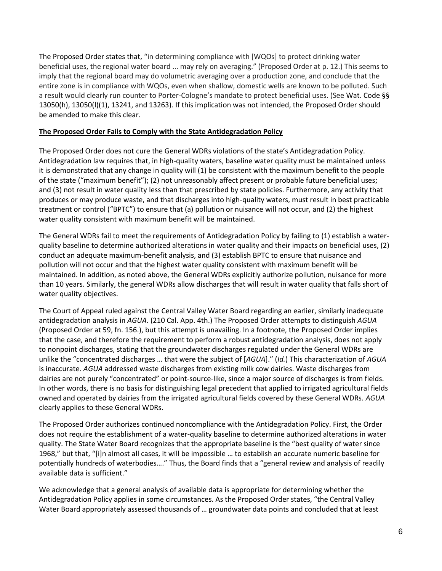The Proposed Order states that, "in determining compliance with [WQOs] to protect drinking water beneficial uses, the regional water board ... may rely on averaging." (Proposed Order at p. 12.) This seems to imply that the regional board may do volumetric averaging over a production zone, and conclude that the entire zone is in compliance with WQOs, even when shallow, domestic wells are known to be polluted. Such a result would clearly run counter to Porter-Cologne's mandate to protect beneficial uses. (See Wat. Code §§ 13050(h), 13050(l)(1), 13241, and 13263). If this implication was not intended, the Proposed Order should be amended to make this clear.

## **The Proposed Order Fails to Comply with the State Antidegradation Policy**

The Proposed Order does not cure the General WDRs violations of the state's Antidegradation Policy. Antidegradation law requires that, in high-quality waters, baseline water quality must be maintained unless it is demonstrated that any change in quality will (1) be consistent with the maximum benefit to the people of the state ("maximum benefit"); (2) not unreasonably affect present or probable future beneficial uses; and (3) not result in water quality less than that prescribed by state policies. Furthermore, any activity that produces or may produce waste, and that discharges into high-quality waters, must result in best practicable treatment or control ("BPTC") to ensure that (a) pollution or nuisance will not occur, and (2) the highest water quality consistent with maximum benefit will be maintained.

The General WDRs fail to meet the requirements of Antidegradation Policy by failing to (1) establish a waterquality baseline to determine authorized alterations in water quality and their impacts on beneficial uses, (2) conduct an adequate maximum-benefit analysis, and (3) establish BPTC to ensure that nuisance and pollution will not occur and that the highest water quality consistent with maximum benefit will be maintained. In addition, as noted above, the General WDRs explicitly authorize pollution, nuisance for more than 10 years. Similarly, the general WDRs allow discharges that will result in water quality that falls short of water quality objectives.

The Court of Appeal ruled against the Central Valley Water Board regarding an earlier, similarly inadequate antidegradation analysis in *AGUA*. (210 Cal. App. 4th.) The Proposed Order attempts to distinguish *AGUA*  (Proposed Order at 59, fn. 156.), but this attempt is unavailing. In a footnote, the Proposed Order implies that the case, and therefore the requirement to perform a robust antidegradation analysis, does not apply to nonpoint discharges, stating that the groundwater discharges regulated under the General WDRs are unlike the "concentrated discharges … that were the subject of [*AGUA*]." (*Id.*) This characterization of *AGUA*  is inaccurate. *AGUA* addressed waste discharges from existing milk cow dairies. Waste discharges from dairies are not purely "concentrated" or point-source-like, since a major source of discharges is from fields. In other words, there is no basis for distinguishing legal precedent that applied to irrigated agricultural fields owned and operated by dairies from the irrigated agricultural fields covered by these General WDRs. *AGUA*  clearly applies to these General WDRs.

The Proposed Order authorizes continued noncompliance with the Antidegradation Policy. First, the Order does not require the establishment of a water-quality baseline to determine authorized alterations in water quality. The State Water Board recognizes that the appropriate baseline is the "best quality of water since 1968," but that, "[i]n almost all cases, it will be impossible … to establish an accurate numeric baseline for potentially hundreds of waterbodies…." Thus, the Board finds that a "general review and analysis of readily available data is sufficient."

We acknowledge that a general analysis of available data is appropriate for determining whether the Antidegradation Policy applies in some circumstances. As the Proposed Order states, "the Central Valley Water Board appropriately assessed thousands of … groundwater data points and concluded that at least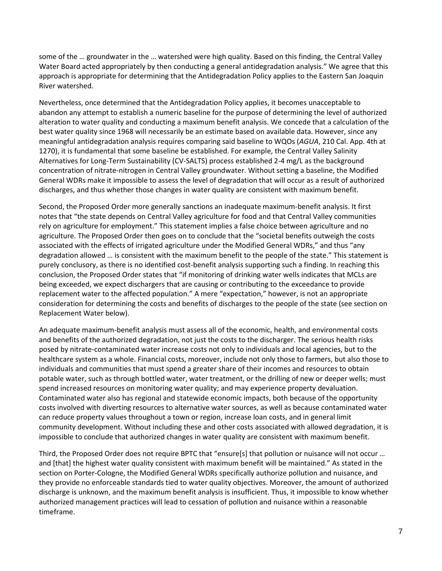some of the … groundwater in the … watershed were high quality. Based on this finding, the Central Valley Water Board acted appropriately by then conducting a general antidegradation analysis." We agree that this approach is appropriate for determining that the Antidegradation Policy applies to the Eastern San Joaquin River watershed.

Nevertheless, once determined that the Antidegradation Policy applies, it becomes unacceptable to abandon any attempt to establish a numeric baseline for the purpose of determining the level of authorized alteration to water quality and conducting a maximum benefit analysis. We concede that a calculation of the best water quality since 1968 will necessarily be an estimate based on available data. However, since any meaningful antidegradation analysis requires comparing said baseline to WQOs (*AGUA*, 210 Cal. App. 4th at 1270), it is fundamental that some baseline be established. For example, the Central Valley Salinity Alternatives for Long-Term Sustainability (CV-SALTS) process established 2-4 mg/L as the background concentration of nitrate-nitrogen in Central Valley groundwater. Without setting a baseline, the Modified General WDRs make it impossible to assess the level of degradation that will occur as a result of authorized discharges, and thus whether those changes in water quality are consistent with maximum benefit.

Second, the Proposed Order more generally sanctions an inadequate maximum-benefit analysis. It first notes that "the state depends on Central Valley agriculture for food and that Central Valley communities rely on agriculture for employment." This statement implies a false choice between agriculture and no agriculture. The Proposed Order then goes on to conclude that the "societal benefits outweigh the costs associated with the effects of irrigated agriculture under the Modified General WDRs," and thus "any degradation allowed … is consistent with the maximum benefit to the people of the state." This statement is purely conclusory, as there is no identified cost-benefit analysis supporting such a finding. In reaching this conclusion, the Proposed Order states that "if monitoring of drinking water wells indicates that MCLs are being exceeded, we expect dischargers that are causing or contributing to the exceedance to provide replacement water to the affected population." A mere "expectation," however, is not an appropriate consideration for determining the costs and benefits of discharges to the people of the state (see section on Replacement Water below).

An adequate maximum-benefit analysis must assess all of the economic, health, and environmental costs and benefits of the authorized degradation, not just the costs to the discharger. The serious health risks posed by nitrate-contaminated water increase costs not only to individuals and local agencies, but to the healthcare system as a whole. Financial costs, moreover, include not only those to farmers, but also those to individuals and communities that must spend a greater share of their incomes and resources to obtain potable water, such as through bottled water, water treatment, or the drilling of new or deeper wells; must spend increased resources on monitoring water quality; and may experience property devaluation. Contaminated water also has regional and statewide economic impacts, both because of the opportunity costs involved with diverting resources to alternative water sources, as well as because contaminated water can reduce property values throughout a town or region, increase loan costs, and in general limit community development. Without including these and other costs associated with allowed degradation, it is impossible to conclude that authorized changes in water quality are consistent with maximum benefit.

Third, the Proposed Order does not require BPTC that "ensure[s] that pollution or nuisance will not occur … and [that] the highest water quality consistent with maximum benefit will be maintained." As stated in the section on Porter-Cologne, the Modified General WDRs specifically authorize pollution and nuisance, and they provide no enforceable standards tied to water quality objectives. Moreover, the amount of authorized discharge is unknown, and the maximum benefit analysis is insufficient. Thus, it impossible to know whether authorized management practices will lead to cessation of pollution and nuisance within a reasonable timeframe.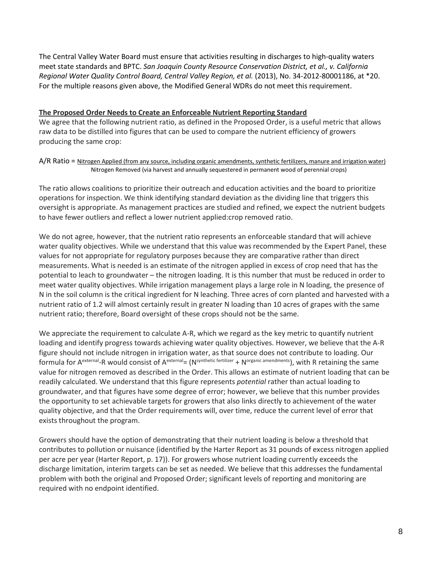The Central Valley Water Board must ensure that activities resulting in discharges to high-quality waters meet state standards and BPTC. *San Joaquin County Resource Conservation District, et al., v. California Regional Water Quality Control Board, Central Valley Region, et al.* (2013), No. 34-2012-80001186, at \*20. For the multiple reasons given above, the Modified General WDRs do not meet this requirement.

## **The Proposed Order Needs to Create an Enforceable Nutrient Reporting Standard**

We agree that the following nutrient ratio, as defined in the Proposed Order, is a useful metric that allows raw data to be distilled into figures that can be used to compare the nutrient efficiency of growers producing the same crop:

A/R Ratio = Nitrogen Applied (from any source, including organic amendments, synthetic fertilizers, manure and irrigation water) Nitrogen Removed (via harvest and annually sequestered in permanent wood of perennial crops)

The ratio allows coalitions to prioritize their outreach and education activities and the board to prioritize operations for inspection. We think identifying standard deviation as the dividing line that triggers this oversight is appropriate. As management practices are studied and refined, we expect the nutrient budgets to have fewer outliers and reflect a lower nutrient applied:crop removed ratio.

We do not agree, however, that the nutrient ratio represents an enforceable standard that will achieve water quality objectives. While we understand that this value was recommended by the Expert Panel, these values for not appropriate for regulatory purposes because they are comparative rather than direct measurements. What is needed is an estimate of the nitrogen applied in excess of crop need that has the potential to leach to groundwater – the nitrogen loading. It is this number that must be reduced in order to meet water quality objectives. While irrigation management plays a large role in N loading, the presence of N in the soil column is the critical ingredient for N leaching. Three acres of corn planted and harvested with a nutrient ratio of 1.2 will almost certainly result in greater N loading than 10 acres of grapes with the same nutrient ratio; therefore, Board oversight of these crops should not be the same.

We appreciate the requirement to calculate A-R, which we regard as the key metric to quantify nutrient loading and identify progress towards achieving water quality objectives. However, we believe that the A-R figure should not include nitrogen in irrigation water, as that source does not contribute to loading. Our formula for A<sup>external</sup>-R would consist of A<sup>external</sup>= (N<sup>synthetic fertilizer</sup> + N<sup>organic amendments</sup>), with R retaining the same value for nitrogen removed as described in the Order. This allows an estimate of nutrient loading that can be readily calculated. We understand that this figure represents *potential* rather than actual loading to groundwater, and that figures have some degree of error; however, we believe that this number provides the opportunity to set achievable targets for growers that also links directly to achievement of the water quality objective, and that the Order requirements will, over time, reduce the current level of error that exists throughout the program.

Growers should have the option of demonstrating that their nutrient loading is below a threshold that contributes to pollution or nuisance (identified by the Harter Report as 31 pounds of excess nitrogen applied per acre per year (Harter Report, p. 17)). For growers whose nutrient loading currently exceeds the discharge limitation, interim targets can be set as needed. We believe that this addresses the fundamental problem with both the original and Proposed Order; significant levels of reporting and monitoring are required with no endpoint identified.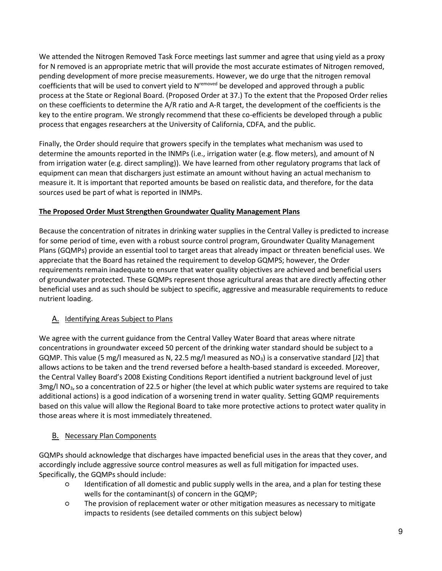We attended the Nitrogen Removed Task Force meetings last summer and agree that using yield as a proxy for N removed is an appropriate metric that will provide the most accurate estimates of Nitrogen removed, pending development of more precise measurements. However, we do urge that the nitrogen removal coefficients that will be used to convert yield to N<sup>removed</sup> be developed and approved through a public process at the State or Regional Board. (Proposed Order at 37.) To the extent that the Proposed Order relies on these coefficients to determine the A/R ratio and A-R target, the development of the coefficients is the key to the entire program. We strongly recommend that these co-efficients be developed through a public process that engages researchers at the University of California, CDFA, and the public.

Finally, the Order should require that growers specify in the templates what mechanism was used to determine the amounts reported in the INMPs (i.e., irrigation water (e.g. flow meters), and amount of N from irrigation water (e.g. direct sampling)). We have learned from other regulatory programs that lack of equipment can mean that dischargers just estimate an amount without having an actual mechanism to measure it. It is important that reported amounts be based on realistic data, and therefore, for the data sources used be part of what is reported in INMPs.

# **The Proposed Order Must Strengthen Groundwater Quality Management Plans**

Because the concentration of nitrates in drinking water supplies in the Central Valley is predicted to increase for some period of time, even with a robust source control program, Groundwater Quality Management Plans (GQMPs) provide an essential tool to target areas that already impact or threaten beneficial uses. We appreciate that the Board has retained the requirement to develop GQMPS; however, the Order requirements remain inadequate to ensure that water quality objectives are achieved and beneficial users of groundwater protected. These GQMPs represent those agricultural areas that are directly affecting other beneficial uses and as such should be subject to specific, aggressive and measurable requirements to reduce nutrient loading.

# A. Identifying Areas Subject to Plans

We agree with the current guidance from the Central Valley Water Board that areas where nitrate concentrations in groundwater exceed 50 percent of the drinking water standard should be subject to a GQMP. This value (5 mg/l measured as N, 22.5 mg/l measured as  $NO_3$ ) is a conservative standard [J2] that allows actions to be taken and the trend reversed before a health-based standard is exceeded. Moreover, the Central Valley Board's 2008 Existing Conditions Report identified a nutrient background level of just 3mg/l NO<sub>3</sub>, so a concentration of 22.5 or higher (the level at which public water systems are required to take additional actions) is a good indication of a worsening trend in water quality. Setting GQMP requirements based on this value will allow the Regional Board to take more protective actions to protect water quality in those areas where it is most immediately threatened.

# **B.** Necessary Plan Components

GQMPs should acknowledge that discharges have impacted beneficial uses in the areas that they cover, and accordingly include aggressive source control measures as well as full mitigation for impacted uses. Specifically, the GQMPs should include:

- Identification of all domestic and public supply wells in the area, and a plan for testing these wells for the contaminant(s) of concern in the GQMP;
- The provision of replacement water or other mitigation measures as necessary to mitigate impacts to residents (see detailed comments on this subject below)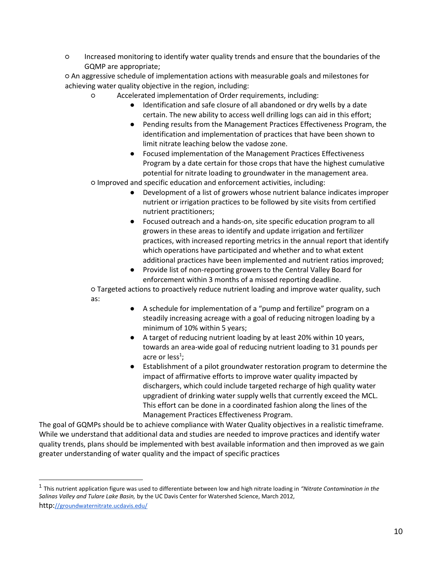○ Increased monitoring to identify water quality trends and ensure that the boundaries of the GQMP are appropriate;

○ An aggressive schedule of implementation actions with measurable goals and milestones for achieving water quality objective in the region, including:

- Accelerated implementation of Order requirements, including:
	- Identification and safe closure of all abandoned or dry wells by a date certain. The new ability to access well drilling logs can aid in this effort;
	- Pending results from the Management Practices Effectiveness Program, the identification and implementation of practices that have been shown to limit nitrate leaching below the vadose zone.
	- Focused implementation of the Management Practices Effectiveness Program by a date certain for those crops that have the highest cumulative potential for nitrate loading to groundwater in the management area.

○ Improved and specific education and enforcement activities, including:

- Development of a list of growers whose nutrient balance indicates improper nutrient or irrigation practices to be followed by site visits from certified nutrient practitioners;
- Focused outreach and a hands-on, site specific education program to all growers in these areas to identify and update irrigation and fertilizer practices, with increased reporting metrics in the annual report that identify which operations have participated and whether and to what extent additional practices have been implemented and nutrient ratios improved;
- Provide list of non-reporting growers to the Central Valley Board for enforcement within 3 months of a missed reporting deadline.

○ Targeted actions to proactively reduce nutrient loading and improve water quality, such as:

- A schedule for implementation of a "pump and fertilize" program on a steadily increasing acreage with a goal of reducing nitrogen loading by a minimum of 10% within 5 years;
- A target of reducing nutrient loading by at least 20% within 10 years, towards an area-wide goal of reducing nutrient loading to 31 pounds per acre or less<sup>1</sup>;
- Establishment of a pilot groundwater restoration program to determine the impact of affirmative efforts to improve water quality impacted by dischargers, which could include targeted recharge of high quality water upgradient of drinking water supply wells that currently exceed the MCL. This effort can be done in a coordinated fashion along the lines of the Management Practices Effectiveness Program.

The goal of GQMPs should be to achieve compliance with Water Quality objectives in a realistic timeframe. While we understand that additional data and studies are needed to improve practices and identify water quality trends, plans should be implemented with best available information and then improved as we gain greater understanding of water quality and the impact of specific practices

<sup>1</sup> This nutrient application figure was used to differentiate between low and high nitrate loading in *"Nitrate Contamination in the Salinas Valley and Tulare Lake Basin,* by the UC Davis Center for Watershed Science, March 201[2,](http://groundwaternitrate.ucdavis.edu/) [http:](http://groundwaternitrate.ucdavis.edu/)[//groundwaternitrate.ucdavis.edu/](http://groundwaternitrate.ucdavis.edu/)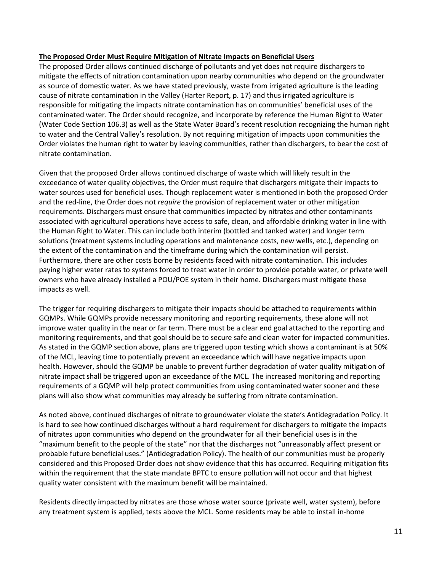#### **The Proposed Order Must Require Mitigation of Nitrate Impacts on Beneficial Users**

The proposed Order allows continued discharge of pollutants and yet does not require dischargers to mitigate the effects of nitration contamination upon nearby communities who depend on the groundwater as source of domestic water. As we have stated previously, waste from irrigated agriculture is the leading cause of nitrate contamination in the Valley (Harter Report, p. 17) and thus irrigated agriculture is responsible for mitigating the impacts nitrate contamination has on communities' beneficial uses of the contaminated water. The Order should recognize, and incorporate by reference the Human Right to Water (Water Code Section 106.3) as well as the State Water Board's recent resolution recognizing the human right to water and the Central Valley's resolution. By not requiring mitigation of impacts upon communities the Order violates the human right to water by leaving communities, rather than dischargers, to bear the cost of nitrate contamination.

Given that the proposed Order allows continued discharge of waste which will likely result in the exceedance of water quality objectives, the Order must require that dischargers mitigate their impacts to water sources used for beneficial uses. Though replacement water is mentioned in both the proposed Order and the red-line, the Order does not *require* the provision of replacement water or other mitigation requirements. Dischargers must ensure that communities impacted by nitrates and other contaminants associated with agricultural operations have access to safe, clean, and affordable drinking water in line with the Human Right to Water. This can include both interim (bottled and tanked water) and longer term solutions (treatment systems including operations and maintenance costs, new wells, etc.), depending on the extent of the contamination and the timeframe during which the contamination will persist. Furthermore, there are other costs borne by residents faced with nitrate contamination. This includes paying higher water rates to systems forced to treat water in order to provide potable water, or private well owners who have already installed a POU/POE system in their home. Dischargers must mitigate these impacts as well.

The trigger for requiring dischargers to mitigate their impacts should be attached to requirements within GQMPs. While GQMPs provide necessary monitoring and reporting requirements, these alone will not improve water quality in the near or far term. There must be a clear end goal attached to the reporting and monitoring requirements, and that goal should be to secure safe and clean water for impacted communities. As stated in the GQMP section above, plans are triggered upon testing which shows a contaminant is at 50% of the MCL, leaving time to potentially prevent an exceedance which will have negative impacts upon health. However, should the GQMP be unable to prevent further degradation of water quality mitigation of nitrate impact shall be triggered upon an exceedance of the MCL. The increased monitoring and reporting requirements of a GQMP will help protect communities from using contaminated water sooner and these plans will also show what communities may already be suffering from nitrate contamination.

As noted above, continued discharges of nitrate to groundwater violate the state's Antidegradation Policy. It is hard to see how continued discharges without a hard requirement for dischargers to mitigate the impacts of nitrates upon communities who depend on the groundwater for all their beneficial uses is in the "maximum benefit to the people of the state" nor that the discharges not "unreasonably affect present or probable future beneficial uses." (Antidegradation Policy). The health of our communities must be properly considered and this Proposed Order does not show evidence that this has occurred. Requiring mitigation fits within the requirement that the state mandate BPTC to ensure pollution will not occur and that highest quality water consistent with the maximum benefit will be maintained.

Residents directly impacted by nitrates are those whose water source (private well, water system), before any treatment system is applied, tests above the MCL. Some residents may be able to install in-home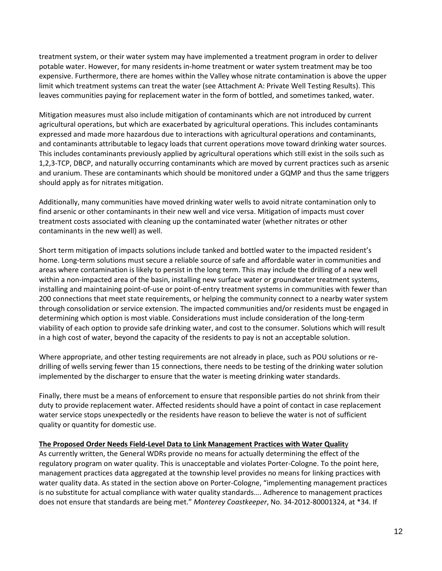treatment system, or their water system may have implemented a treatment program in order to deliver potable water. However, for many residents in-home treatment or water system treatment may be too expensive. Furthermore, there are homes within the Valley whose nitrate contamination is above the upper limit which treatment systems can treat the water (see Attachment A: Private Well Testing Results). This leaves communities paying for replacement water in the form of bottled, and sometimes tanked, water.

Mitigation measures must also include mitigation of contaminants which are not introduced by current agricultural operations, but which are exacerbated by agricultural operations. This includes contaminants expressed and made more hazardous due to interactions with agricultural operations and contaminants, and contaminants attributable to legacy loads that current operations move toward drinking water sources. This includes contaminants previously applied by agricultural operations which still exist in the soils such as 1,2,3-TCP, DBCP, and naturally occurring contaminants which are moved by current practices such as arsenic and uranium. These are contaminants which should be monitored under a GQMP and thus the same triggers should apply as for nitrates mitigation.

Additionally, many communities have moved drinking water wells to avoid nitrate contamination only to find arsenic or other contaminants in their new well and vice versa. Mitigation of impacts must cover treatment costs associated with cleaning up the contaminated water (whether nitrates or other contaminants in the new well) as well.

Short term mitigation of impacts solutions include tanked and bottled water to the impacted resident's home. Long-term solutions must secure a reliable source of safe and affordable water in communities and areas where contamination is likely to persist in the long term. This may include the drilling of a new well within a non-impacted area of the basin, installing new surface water or groundwater treatment systems, installing and maintaining point-of-use or point-of-entry treatment systems in communities with fewer than 200 connections that meet state requirements, or helping the community connect to a nearby water system through consolidation or service extension. The impacted communities and/or residents must be engaged in determining which option is most viable. Considerations must include consideration of the long-term viability of each option to provide safe drinking water, and cost to the consumer. Solutions which will result in a high cost of water, beyond the capacity of the residents to pay is not an acceptable solution.

Where appropriate, and other testing requirements are not already in place, such as POU solutions or redrilling of wells serving fewer than 15 connections, there needs to be testing of the drinking water solution implemented by the discharger to ensure that the water is meeting drinking water standards.

Finally, there must be a means of enforcement to ensure that responsible parties do not shrink from their duty to provide replacement water. Affected residents should have a point of contact in case replacement water service stops unexpectedly or the residents have reason to believe the water is not of sufficient quality or quantity for domestic use.

#### **The Proposed Order Needs Field-Level Data to Link Management Practices with Water Qualit**y

As currently written, the General WDRs provide no means for actually determining the effect of the regulatory program on water quality. This is unacceptable and violates Porter-Cologne. To the point here, management practices data aggregated at the township level provides no means for linking practices with water quality data. As stated in the section above on Porter-Cologne, "implementing management practices is no substitute for actual compliance with water quality standards…. Adherence to management practices does not ensure that standards are being met." *Monterey Coastkeeper*, No. 34-2012-80001324, at \*34. If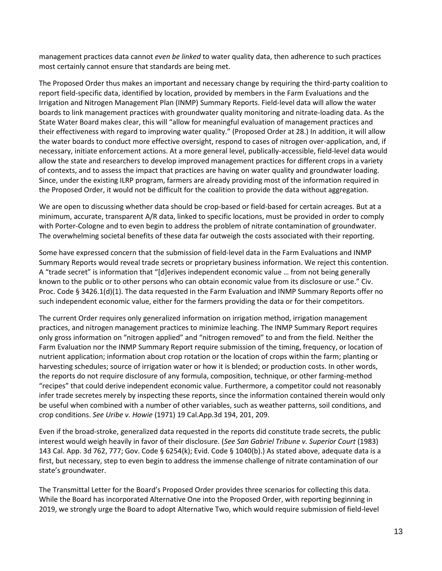management practices data cannot *even be linked* to water quality data, then adherence to such practices most certainly cannot ensure that standards are being met.

The Proposed Order thus makes an important and necessary change by requiring the third-party coalition to report field-specific data, identified by location, provided by members in the Farm Evaluations and the Irrigation and Nitrogen Management Plan (INMP) Summary Reports. Field-level data will allow the water boards to link management practices with groundwater quality monitoring and nitrate-loading data. As the State Water Board makes clear, this will "allow for meaningful evaluation of management practices and their effectiveness with regard to improving water quality." (Proposed Order at 28.) In addition, it will allow the water boards to conduct more effective oversight, respond to cases of nitrogen over-application, and, if necessary, initiate enforcement actions. At a more general level, publically-accessible, field-level data would allow the state and researchers to develop improved management practices for different crops in a variety of contexts, and to assess the impact that practices are having on water quality and groundwater loading. Since, under the existing ILRP program, farmers are already providing most of the information required in the Proposed Order, it would not be difficult for the coalition to provide the data without aggregation.

We are open to discussing whether data should be crop-based or field-based for certain acreages. But at a minimum, accurate, transparent A/R data, linked to specific locations, must be provided in order to comply with Porter-Cologne and to even begin to address the problem of nitrate contamination of groundwater. The overwhelming societal benefits of these data far outweigh the costs associated with their reporting.

Some have expressed concern that the submission of field-level data in the Farm Evaluations and INMP Summary Reports would reveal trade secrets or proprietary business information. We reject this contention. A "trade secret" is information that "[d]erives independent economic value … from not being generally known to the public or to other persons who can obtain economic value from its disclosure or use." Civ. Proc. Code § 3426.1(d)(1). The data requested in the Farm Evaluation and INMP Summary Reports offer no such independent economic value, either for the farmers providing the data or for their competitors.

The current Order requires only generalized information on irrigation method, irrigation management practices, and nitrogen management practices to minimize leaching. The INMP Summary Report requires only gross information on "nitrogen applied" and "nitrogen removed" to and from the field. Neither the Farm Evaluation nor the INMP Summary Report require submission of the timing, frequency, or location of nutrient application; information about crop rotation or the location of crops within the farm; planting or harvesting schedules; source of irrigation water or how it is blended; or production costs. In other words, the reports do not require disclosure of any formula, composition, technique, or other farming-method "recipes" that could derive independent economic value. Furthermore, a competitor could not reasonably infer trade secretes merely by inspecting these reports, since the information contained therein would only be useful when combined with a number of other variables, such as weather patterns, soil conditions, and crop conditions. *See Uribe v. Howie* (1971) 19 Cal.App.3d 194, 201, 209.

Even if the broad-stroke, generalized data requested in the reports did constitute trade secrets, the public interest would weigh heavily in favor of their disclosure. (*See San Gabriel Tribune v. Superior Court* (1983) 143 Cal. App. 3d 762, 777; Gov. Code § 6254(k); Evid. Code § 1040(b).) As stated above, adequate data is a first, but necessary, step to even begin to address the immense challenge of nitrate contamination of our state's groundwater.

The Transmittal Letter for the Board's Proposed Order provides three scenarios for collecting this data. While the Board has incorporated Alternative One into the Proposed Order, with reporting beginning in 2019, we strongly urge the Board to adopt Alternative Two, which would require submission of field-level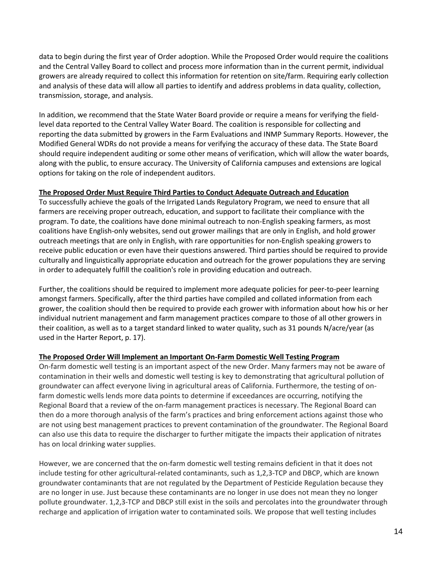data to begin during the first year of Order adoption. While the Proposed Order would require the coalitions and the Central Valley Board to collect and process more information than in the current permit, individual growers are already required to collect this information for retention on site/farm. Requiring early collection and analysis of these data will allow all parties to identify and address problems in data quality, collection, transmission, storage, and analysis.

In addition, we recommend that the State Water Board provide or require a means for verifying the fieldlevel data reported to the Central Valley Water Board. The coalition is responsible for collecting and reporting the data submitted by growers in the Farm Evaluations and INMP Summary Reports. However, the Modified General WDRs do not provide a means for verifying the accuracy of these data. The State Board should require independent auditing or some other means of verification, which will allow the water boards, along with the public, to ensure accuracy. The University of California campuses and extensions are logical options for taking on the role of independent auditors.

## **The Proposed Order Must Require Third Parties to Conduct Adequate Outreach and Education**

To successfully achieve the goals of the Irrigated Lands Regulatory Program, we need to ensure that all farmers are receiving proper outreach, education, and support to facilitate their compliance with the program. To date, the coalitions have done minimal outreach to non-English speaking farmers, as most coalitions have English-only websites, send out grower mailings that are only in English, and hold grower outreach meetings that are only in English, with rare opportunities for non-English speaking growers to receive public education or even have their questions answered. Third parties should be required to provide culturally and linguistically appropriate education and outreach for the grower populations they are serving in order to adequately fulfill the coalition's role in providing education and outreach.

Further, the coalitions should be required to implement more adequate policies for peer-to-peer learning amongst farmers. Specifically, after the third parties have compiled and collated information from each grower, the coalition should then be required to provide each grower with information about how his or her individual nutrient management and farm management practices compare to those of all other growers in their coalition, as well as to a target standard linked to water quality, such as 31 pounds N/acre/year (as used in the Harter Report, p. 17).

# **The Proposed Order Will Implement an Important On-Farm Domestic Well Testing Program**

On-farm domestic well testing is an important aspect of the new Order. Many farmers may not be aware of contamination in their wells and domestic well testing is key to demonstrating that agricultural pollution of groundwater can affect everyone living in agricultural areas of California. Furthermore, the testing of onfarm domestic wells lends more data points to determine if exceedances are occurring, notifying the Regional Board that a review of the on-farm management practices is necessary. The Regional Board can then do a more thorough analysis of the farm's practices and bring enforcement actions against those who are not using best management practices to prevent contamination of the groundwater. The Regional Board can also use this data to require the discharger to further mitigate the impacts their application of nitrates has on local drinking water supplies.

However, we are concerned that the on-farm domestic well testing remains deficient in that it does not include testing for other agricultural-related contaminants, such as 1,2,3-TCP and DBCP, which are known groundwater contaminants that are not regulated by the Department of Pesticide Regulation because they are no longer in use. Just because these contaminants are no longer in use does not mean they no longer pollute groundwater. 1,2,3-TCP and DBCP still exist in the soils and percolates into the groundwater through recharge and application of irrigation water to contaminated soils. We propose that well testing includes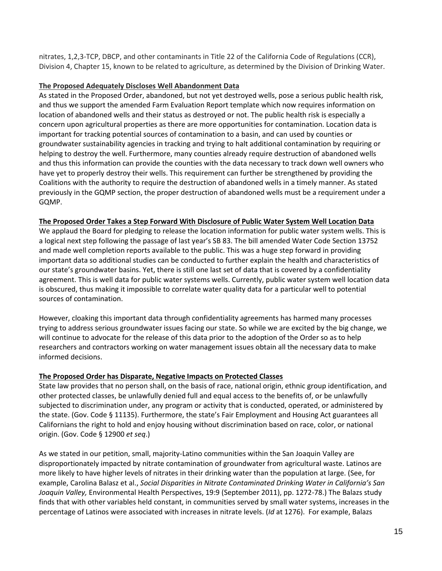nitrates, 1,2,3-TCP, DBCP, and other contaminants in Title 22 of the California Code of Regulations (CCR), Division 4, Chapter 15, known to be related to agriculture, as determined by the Division of Drinking Water.

#### **The Proposed Adequately Discloses Well Abandonment Data**

As stated in the Proposed Order, abandoned, but not yet destroyed wells, pose a serious public health risk, and thus we support the amended Farm Evaluation Report template which now requires information on location of abandoned wells and their status as destroyed or not. The public health risk is especially a concern upon agricultural properties as there are more opportunities for contamination. Location data is important for tracking potential sources of contamination to a basin, and can used by counties or groundwater sustainability agencies in tracking and trying to halt additional contamination by requiring or helping to destroy the well. Furthermore, many counties already require destruction of abandoned wells and thus this information can provide the counties with the data necessary to track down well owners who have yet to properly destroy their wells. This requirement can further be strengthened by providing the Coalitions with the authority to require the destruction of abandoned wells in a timely manner. As stated previously in the GQMP section, the proper destruction of abandoned wells must be a requirement under a GQMP.

## **The Proposed Order Takes a Step Forward With Disclosure of Public Water System Well Location Data**

We applaud the Board for pledging to release the location information for public water system wells. This is a logical next step following the passage of last year's SB 83. The bill amended Water Code Section 13752 and made well completion reports available to the public. This was a huge step forward in providing important data so additional studies can be conducted to further explain the health and characteristics of our state's groundwater basins. Yet, there is still one last set of data that is covered by a confidentiality agreement. This is well data for public water systems wells. Currently, public water system well location data is obscured, thus making it impossible to correlate water quality data for a particular well to potential sources of contamination.

However, cloaking this important data through confidentiality agreements has harmed many processes trying to address serious groundwater issues facing our state. So while we are excited by the big change, we will continue to advocate for the release of this data prior to the adoption of the Order so as to help researchers and contractors working on water management issues obtain all the necessary data to make informed decisions.

# **The Proposed Order has Disparate, Negative Impacts on Protected Classes**

State law provides that no person shall, on the basis of race, national origin, ethnic group identification, and other protected classes, be unlawfully denied full and equal access to the benefits of, or be unlawfully subjected to discrimination under, any program or activity that is conducted, operated, or administered by the state. (Gov. Code § 11135). Furthermore, the state's Fair Employment and Housing Act guarantees all Californians the right to hold and enjoy housing without discrimination based on race, color, or national origin. (Gov. Code § 12900 *et seq*.)

As we stated in our petition, small, majority-Latino communities within the San Joaquin Valley are disproportionately impacted by nitrate contamination of groundwater from agricultural waste. Latinos are more likely to have higher levels of nitrates in their drinking water than the population at large. (See, for example, Carolina Balasz et al., *Social Disparities in Nitrate Contaminated Drinking Water in California's San Joaquin Valley,* Environmental Health Perspectives, 19:9 (September 2011), pp. 1272-78.) The Balazs study finds that with other variables held constant, in communities served by small water systems, increases in the percentage of Latinos were associated with increases in nitrate levels. (*Id* at 1276). For example, Balazs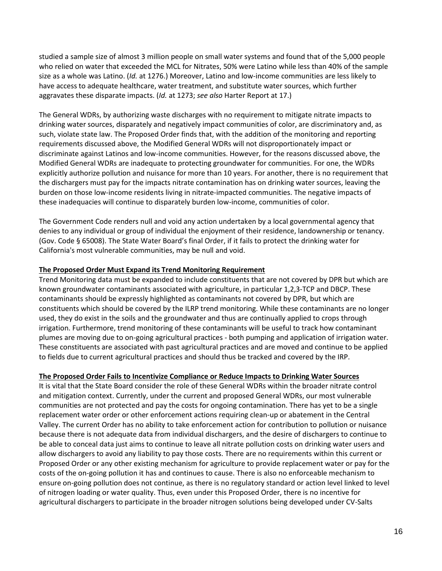studied a sample size of almost 3 million people on small water systems and found that of the 5,000 people who relied on water that exceeded the MCL for Nitrates, 50% were Latino while less than 40% of the sample size as a whole was Latino. (*Id.* at 1276.) Moreover, Latino and low-income communities are less likely to have access to adequate healthcare, water treatment, and substitute water sources, which further aggravates these disparate impacts. (*Id.* at 1273; *see also* Harter Report at 17.)

The General WDRs, by authorizing waste discharges with no requirement to mitigate nitrate impacts to drinking water sources, disparately and negatively impact communities of color, are discriminatory and, as such, violate state law. The Proposed Order finds that, with the addition of the monitoring and reporting requirements discussed above, the Modified General WDRs will not disproportionately impact or discriminate against Latinos and low-income communities. However, for the reasons discussed above, the Modified General WDRs are inadequate to protecting groundwater for communities. For one, the WDRs explicitly authorize pollution and nuisance for more than 10 years. For another, there is no requirement that the dischargers must pay for the impacts nitrate contamination has on drinking water sources, leaving the burden on those low-income residents living in nitrate-impacted communities. The negative impacts of these inadequacies will continue to disparately burden low-income, communities of color.

The Government Code renders null and void any action undertaken by a local governmental agency that denies to any individual or group of individual the enjoyment of their residence, landownership or tenancy. (Gov. Code § 65008). The State Water Board's final Order, if it fails to protect the drinking water for California's most vulnerable communities, may be null and void.

## **The Proposed Order Must Expand its Trend Monitoring Requirement**

Trend Monitoring data must be expanded to include constituents that are not covered by DPR but which are known groundwater contaminants associated with agriculture, in particular 1,2,3-TCP and DBCP. These contaminants should be expressly highlighted as contaminants not covered by DPR, but which are constituents which should be covered by the ILRP trend monitoring. While these contaminants are no longer used, they do exist in the soils and the groundwater and thus are continually applied to crops through irrigation. Furthermore, trend monitoring of these contaminants will be useful to track how contaminant plumes are moving due to on-going agricultural practices - both pumping and application of irrigation water. These constituents are associated with past agricultural practices and are moved and continue to be applied to fields due to current agricultural practices and should thus be tracked and covered by the IRP.

#### **The Proposed Order Fails to Incentivize Compliance or Reduce Impacts to Drinking Water Sources**

It is vital that the State Board consider the role of these General WDRs within the broader nitrate control and mitigation context. Currently, under the current and proposed General WDRs, our most vulnerable communities are not protected and pay the costs for ongoing contamination. There has yet to be a single replacement water order or other enforcement actions requiring clean-up or abatement in the Central Valley. The current Order has no ability to take enforcement action for contribution to pollution or nuisance because there is not adequate data from individual dischargers, and the desire of dischargers to continue to be able to conceal data just aims to continue to leave all nitrate pollution costs on drinking water users and allow dischargers to avoid any liability to pay those costs. There are no requirements within this current or Proposed Order or any other existing mechanism for agriculture to provide replacement water or pay for the costs of the on-going pollution it has and continues to cause. There is also no enforceable mechanism to ensure on-going pollution does not continue, as there is no regulatory standard or action level linked to level of nitrogen loading or water quality. Thus, even under this Proposed Order, there is no incentive for agricultural dischargers to participate in the broader nitrogen solutions being developed under CV-Salts